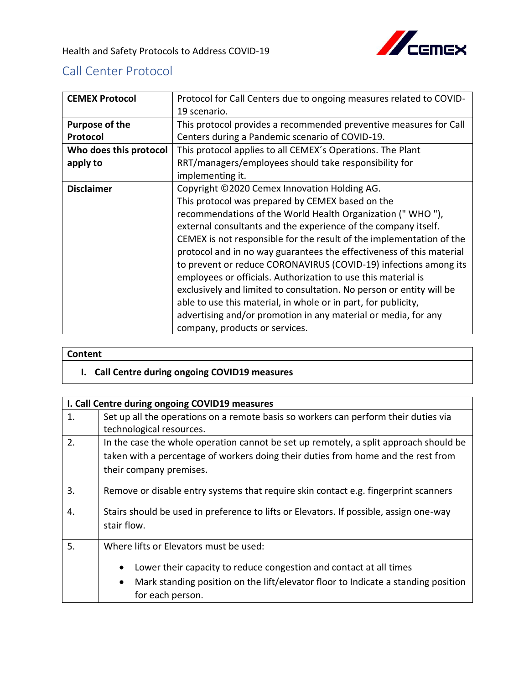

## Call Center Protocol

| <b>CEMEX Protocol</b>  | Protocol for Call Centers due to ongoing measures related to COVID-  |
|------------------------|----------------------------------------------------------------------|
|                        | 19 scenario.                                                         |
| <b>Purpose of the</b>  | This protocol provides a recommended preventive measures for Call    |
| Protocol               | Centers during a Pandemic scenario of COVID-19.                      |
| Who does this protocol | This protocol applies to all CEMEX's Operations. The Plant           |
| apply to               | RRT/managers/employees should take responsibility for                |
|                        | implementing it.                                                     |
| <b>Disclaimer</b>      | Copyright ©2020 Cemex Innovation Holding AG.                         |
|                        | This protocol was prepared by CEMEX based on the                     |
|                        | recommendations of the World Health Organization ("WHO"),            |
|                        | external consultants and the experience of the company itself.       |
|                        | CEMEX is not responsible for the result of the implementation of the |
|                        | protocol and in no way guarantees the effectiveness of this material |
|                        | to prevent or reduce CORONAVIRUS (COVID-19) infections among its     |
|                        | employees or officials. Authorization to use this material is        |
|                        | exclusively and limited to consultation. No person or entity will be |
|                        | able to use this material, in whole or in part, for publicity,       |
|                        | advertising and/or promotion in any material or media, for any       |
|                        | company, products or services.                                       |

## **Content**

## **I. Call Centre during ongoing COVID19 measures**

|    | I. Call Centre during ongoing COVID19 measures                                         |
|----|----------------------------------------------------------------------------------------|
| 1. | Set up all the operations on a remote basis so workers can perform their duties via    |
|    | technological resources.                                                               |
| 2. | In the case the whole operation cannot be set up remotely, a split approach should be  |
|    | taken with a percentage of workers doing their duties from home and the rest from      |
|    | their company premises.                                                                |
|    |                                                                                        |
| 3. | Remove or disable entry systems that require skin contact e.g. fingerprint scanners    |
| 4. | Stairs should be used in preference to lifts or Elevators. If possible, assign one-way |
|    | stair flow.                                                                            |
|    |                                                                                        |
| 5. | Where lifts or Elevators must be used:                                                 |
|    |                                                                                        |
|    | Lower their capacity to reduce congestion and contact at all times                     |
|    | Mark standing position on the lift/elevator floor to Indicate a standing position<br>٠ |
|    |                                                                                        |
|    | for each person.                                                                       |